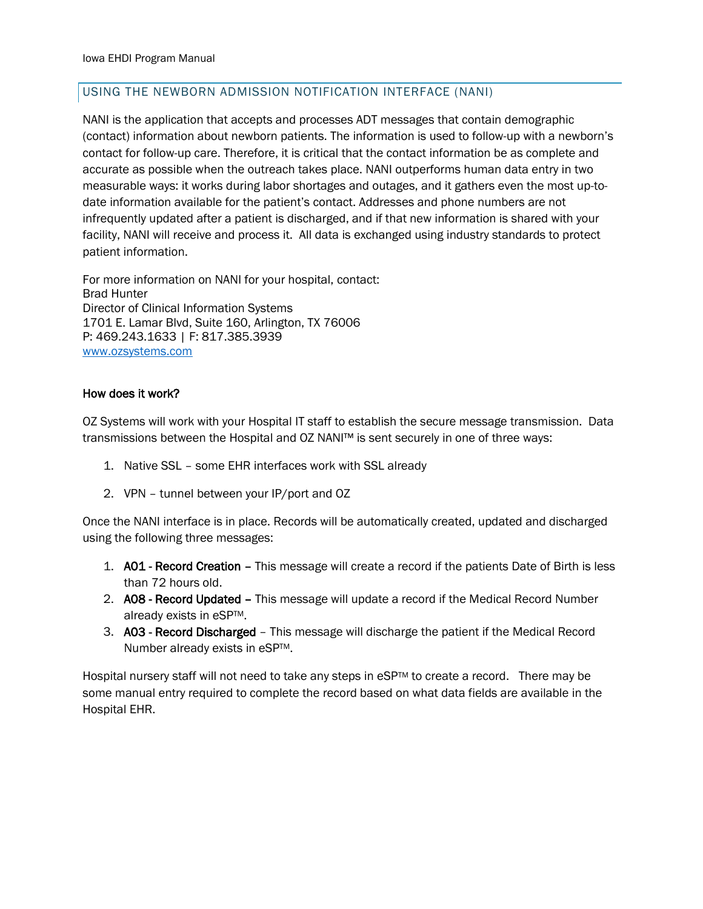# USING THE NEWBORN ADMISSION NOTIFICATION INTERFACE (NANI)

NANI is the application that accepts and processes ADT messages that contain demographic (contact) information about newborn patients. The information is used to follow-up with a newborn's contact for follow-up care. Therefore, it is critical that the contact information be as complete and accurate as possible when the outreach takes place. NANI outperforms human data entry in two measurable ways: it works during labor shortages and outages, and it gathers even the most up-todate information available for the patient's contact. Addresses and phone numbers are not infrequently updated after a patient is discharged, and if that new information is shared with your facility, NANI will receive and process it. All data is exchanged using industry standards to protect patient information.

For more information on NANI for your hospital, contact: Brad Hunter Director of Clinical Information Systems 1701 E. Lamar Blvd, Suite 160, Arlington, TX 76006 P: 469.243.1633 | F: 817.385.3939 [www.ozsystems.com](http://www.ozsystems.com/)

### How does it work?

OZ Systems will work with your Hospital IT staff to establish the secure message transmission. Data transmissions between the Hospital and OZ NANI™ is sent securely in one of three ways:

- 1. Native SSL some EHR interfaces work with SSL already
- 2. VPN tunnel between your IP/port and OZ

Once the NANI interface is in place. Records will be automatically created, updated and discharged using the following three messages:

- 1. A01 Record Creation This message will create a record if the patients Date of Birth is less than 72 hours old.
- 2. A08 Record Updated This message will update a record if the Medical Record Number already exists in eSPTM.
- 3. A03 Record Discharged This message will discharge the patient if the Medical Record Number already exists in eSP™.

Hospital nursery staff will not need to take any steps in eSP™ to create a record. There may be some manual entry required to complete the record based on what data fields are available in the Hospital EHR.